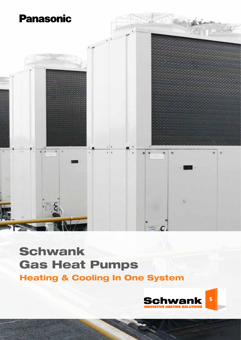

# Schwank Gas Heat Pumps Heating & Cooling In One System

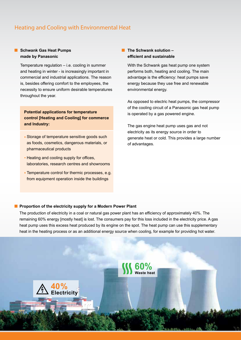### Heating and Cooling with Environmental Heat

### **Schwank Gas Heat Pumps made by Panasonic**

Temperature regulation – i.e. cooling in summer and heating in winter - is increasingly important in commercial and industrial applications. The reason is, besides offering comfort to the employees, the necessity to ensure uniform desirable temperatures throughout the year.

**Potential applications for temperature control [Heating and Cooling] for commerce and Industry:**

- **Storage of temperature sensitive goods such** as foods, cosmetics, dangerous materials, or pharmaceutical products
- **Heating and cooling supply for offices,** laboratories, research centres and showrooms
- **Temperature control for thermic processes, e.g.** from equipment operation inside the buildings

### **The Schwank solution – efficient and sustainable**

With the Schwank gas heat pump one system performs both, heating and cooling. The main advantage is the efficiency: heat pumps save energy because they use free and renewable environmental energy.

As opposed to electric heat pumps, the compressor of the cooling circuit of a Panasonic gas heat pump is operated by a gas powered engine.

The gas engine heat pump uses gas and not electricity as its energy source in order to generate heat or cold. This provides a large number of advantages.

#### **Proportion of the electricity supply for a Modern Power Plant**

The production of electricity in a coal or natural gas power plant has an efficiency of approximately 40%. The remaining 60% energy [mostly heat] is lost. The consumers pay for this loss included in the electricity price. A gas heat pump uses this excess heat produced by its engine on the spot. The heat pump can use this supplementary heat in the heating process or as an additional energy source when cooling, for example for providing hot water.

**60% Waste heat**

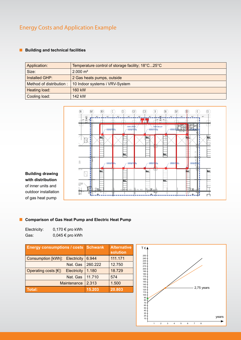### Energy Costs and Application Example

### **Building and technical facilities**

| Application:            | Temperature control of storage facility; 18°C25°C |
|-------------------------|---------------------------------------------------|
| Size:                   | $2.000 \text{ m}^2$                               |
| Installed GHP:          | 2 Gas heats pumps, outside                        |
| Method of distribution: | 10 Indoor systems i VRV-System                    |
| Heating load:           | 160 kW                                            |
| Cooling load:           | 142 kW                                            |



### **Building drawing with distribution**  of inner units and outdoor installation of gas heat pump

### **E** Comparison of Gas Heat Pump and Electric Heat Pump

| Electricity: | $0,170 \in \text{pro kWh}$ |
|--------------|----------------------------|
| Gas:         | $0,045 \in$ pro kWh        |

| <b>Energy consumptions / costs Schwank</b> |                    | <b>Alternative</b><br>solution |         |
|--------------------------------------------|--------------------|--------------------------------|---------|
| <b>Consumption [kWh]:</b>                  | Electricity        | 6.944                          | 111.171 |
|                                            | Nat. Gas           | 260.222                        | 12.750  |
| Operating costs $[€]$ :                    | <b>Electricity</b> | 1.180                          | 18.729  |
|                                            | Nat. Gas           | 11.710                         | 574     |
| Maintenance                                |                    | 2.313                          | 1.500   |
| Total:                                     |                    | 15.203                         | 20.803  |

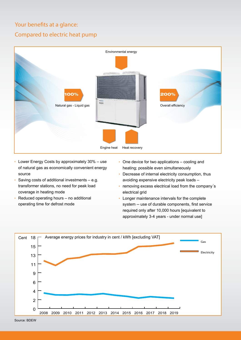## Your benefits at a glance: Compared to electric heat pump



- Lower Energy Costs by approximately 30% use of natural gas as economically convenient energy source
- Saving costs of additional investments e.g. transformer stations, no need for peak load coverage in heating mode
- Reduced operating hours no additional operating time for defrost mode
- One device for two applications cooling and heating; possible even simultaneously
- Decrease of internal electricity consumption, thus avoiding expensive electricity peak loads –
- removing excess electrical load from the company´s electrical grid
- Longer maintenance intervals for the complete system -- use of durable components, first service required only after 10,000 hours [equivalent to approximately 3-4 years - under normal use]

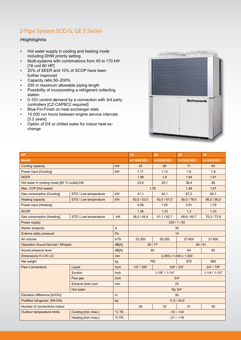### 2-Pipe System ECO G, GE 3 Series

### **Highlights**

- Hot water supply in cooling and heating mode including DHW priority setting
- Multi-systems with combinations from 45 to 170 kW [16 und 60 HP]
- 20% of SEER and 10% of SCOP have been further improved
- Capacity ratio 50–200%
- 200 m maximum allowable piping length
- Possibility of incorporating a refrigerant collecting station
- 0-10V control demand by a connection with 3rd party controllers [CZ-CAPBC2 required]
- **Blue-Fin-Finish on heat exchanger slats**
- 10.000 run hours between engine service intervals [3.2 years]
- Option of DX or chilled water for indoor heat exchange



| HP                                          |                       | 16             | 20                    | 25                | 30               |                  |  |
|---------------------------------------------|-----------------------|----------------|-----------------------|-------------------|------------------|------------------|--|
| <b>Model</b>                                |                       |                | <b>U-16GE3E5</b>      | <b>U-20GE3E5</b>  | <b>U-25GE3E5</b> | <b>U-30GE3E5</b> |  |
| Cooling capacity                            |                       | kW             | 45                    | 56                | 71               | 85               |  |
| Power input [Cooling]                       |                       | kW             | 1.17                  | 1,12              | 1.8              | 1,8              |  |
| <b>SEER</b>                                 |                       |                | 1,98                  | 1,9               | 1,94             | 1,91             |  |
| Hot water in cooling mode [65 °C outlet] kW |                       |                | 23,6                  | 29,1              | 36,4             | 46               |  |
| Max. COP [Hot water]                        |                       |                | 1,55                  |                   | 1,49             | 1,47             |  |
| <b>Gas consumption [Cooling]</b>            | STD / Low temperature | kW             | 41,1                  | 52,1              | 67,2             | 84,1             |  |
| <b>Heating capacity</b>                     | STD / Low temperature | kW             | 50,0 / 53,0           | 63,0 / 67,0       | 80,0 / 78,0      | 95,0 / 90,0      |  |
| Power input [Heating]                       |                       |                | 0,56                  | 1,05              | 0,91             | 1,75             |  |
| <b>SCOP</b>                                 |                       |                | 1,36                  | 1,33              | 1,3              | 1,33             |  |
| <b>Gas consumption [Heating]</b>            | STD / Low temperature | kW             | 38,0/45,4             | 51, 1/62, 7       | 68,6/60,7        | 75,3/73,9        |  |
| Power supply                                |                       |                | 230/1/50              |                   |                  |                  |  |
| <b>Starter amperes</b>                      |                       | $\overline{A}$ | 30                    |                   |                  |                  |  |
| Externe static pressure                     |                       | Pa             | 10                    |                   |                  |                  |  |
| Air volume                                  |                       | $m^3/h$        | 22.200                | 25.200            | 27.600           | 27.600           |  |
| <b>Operation Sound Normal / Whisper</b>     |                       | dB[A]          | 80/77                 |                   |                  | 84/81            |  |
| Sound pressure level                        |                       | dB[A]          | 60<br>64              |                   | 65               |                  |  |
| Dimensions H x W x D                        |                       | mm             | 2.255 x 1.650 x 1.000 |                   |                  |                  |  |
| Net weight                                  |                       | kg             | 765                   |                   | 870              | 880              |  |
| <b>Pipe Connections</b>                     | Liquid                | Inch           | 1/2" / 5/8"           | $5/8$ " / $3/4$ " |                  | 3/4" / 7/8"      |  |
|                                             | Suction               | Inch           | $1-1/8" / 1-1/4"$     |                   |                  | $1-1/4/1-1/2"$   |  |
|                                             | Flue gas              | Inch           | 3/4"                  |                   |                  |                  |  |
|                                             | Exhaust drain port    | mm             | 25                    |                   |                  |                  |  |
|                                             | Hot water             |                | Rp 3/4"               |                   |                  |                  |  |
| Elevation difference [IU/OU]                |                       | m              | 50                    |                   |                  |                  |  |
| Prefilled refrigerant [R410A]               |                       | kg             | 11, 5 / 24, 0         |                   |                  |                  |  |
| Number of connections indoor                |                       |                | 26                    | 33                | 41               | 50               |  |
| <b>Outdoor temperature limits</b>           | Cooling [min./max.]   | °C TK.         | $-10 - +43$           |                   |                  |                  |  |
|                                             | Heating [min./max.]   | °C FK.         | $-21 - +18$           |                   |                  |                  |  |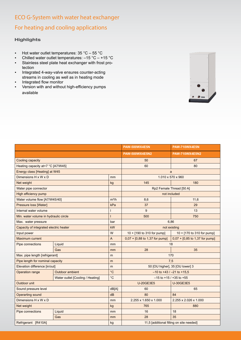# ECO G-System with water heat exchanger For heating and cooling applications

### **Highlights**

- **•** Hot water outlet temperatures:  $35 \degree C 55 \degree C$
- Chilled water outlet temperatures:  $-15$  °C  $+15$  °C
- Stainless steel plate heat exchanger with frost protection
- Integrated 4-way-valve ensures counter-acting streams in cooling as well as in heating mode
- Integrated flow monitor
- Version with and without high-efficiency pumps available



|                                        |                                  | PAW-500WX4E5N     | <b>PAW-710WX4E5N</b>                     |                                  |  |
|----------------------------------------|----------------------------------|-------------------|------------------------------------------|----------------------------------|--|
|                                        |                                  |                   | <b>PAW-500WX4E5N2</b>                    | <b>PAW-710WX4E5N2</b>            |  |
| Cooling capacity                       |                                  |                   | 50                                       | 67                               |  |
| Heating capacity at+7 °C [A7/W45]      |                                  |                   | 60                                       | 80                               |  |
| Energy class [Heating] at W45          |                                  |                   | a                                        |                                  |  |
| Dimensions H x W x D                   |                                  | mm                | 1.010 x 570 x 960                        |                                  |  |
| Net weight                             |                                  | kg                | 180<br>145                               |                                  |  |
| Water pipe connector                   |                                  |                   | Rp2 Female Thread [50 A]                 |                                  |  |
| High efficiency pump                   |                                  |                   | not included                             |                                  |  |
| Water volume flow [A7/W45/40]          |                                  | $m^3/h$           | 8,6                                      | 11,6                             |  |
| Pressure loss [Water]                  |                                  | kPa               | 37                                       | 29                               |  |
| Internal water volume                  |                                  |                   | 9                                        | 13                               |  |
| Min. water volume in hydraulic circle  |                                  |                   | 500                                      | 750                              |  |
| Max. water pressure                    |                                  | bar               | 6,86                                     |                                  |  |
| Capacity of integrated electric heater |                                  | kW                | not existing                             |                                  |  |
| Input power                            |                                  | W                 | 10 + [190 to 310 for pump]               | 10 + [170 to 310 for pump]       |  |
| <b>Maximum current</b>                 |                                  | A                 | $0.07 + [0.88$ to 1,37 for pump]         | $0.07 + [0.85$ to 1,37 for pump] |  |
| Pipe connections                       | Liquid                           | mm                | 18                                       |                                  |  |
|                                        | Gas                              | mm                | 28                                       | 35                               |  |
| Max. pipe length [refrigerant]         |                                  | m                 | 170                                      |                                  |  |
| Pipe length for nominal capacity       |                                  | m                 | 7,5                                      |                                  |  |
| Elevation difference [in/out]          |                                  | m                 | 50 [OU higher], 35 [OU lower] 3          |                                  |  |
| <b>Operation range</b>                 | <b>Outdoor ambient</b>           | $^{\circ}$ C      | $-10$ to $+43$ / $-21$ to $+15.5$        |                                  |  |
|                                        | Water outlet [Cooling / Heating] | $^{\circ}{\rm C}$ | $-15$ to $+15$ / $+35$ to $+55$          |                                  |  |
| Outdoor unit                           |                                  |                   | <b>U-20GE3E5</b>                         | <b>U-30GE3E5</b>                 |  |
| Sound pressure level                   |                                  | dB[A]             | 60                                       | 65                               |  |
| <b>Operarting sound</b>                |                                  | dB                | 80                                       | 84                               |  |
| Dimensions H x W x D                   |                                  | mm                | 2.255 x 1.650 x 1.000                    | 2.255 x 2.026 x 1.000            |  |
| Net weight                             |                                  | kg                | 765                                      | 880                              |  |
| Pipe connections                       | Liquid                           | mm                | 16                                       | 18                               |  |
|                                        | Gas                              | mm                | 28                                       | 35                               |  |
| Refrigerant [R410A]                    |                                  | kg                | 11,5 [additional filling on site needed] |                                  |  |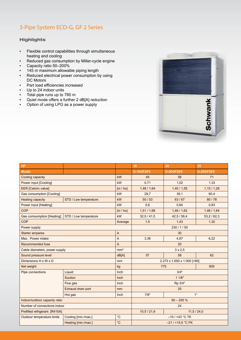### 3-Pipe System ECO-G, GF 2 Series

#### **Highlights**

- Flexible control capabilities through simultaneous heating and cooling
- Reduced gas consumption by Miller-cycle engine
- Capacity ratio 50–200%
- 145 m maximum allowable piping length
- Reduced electrical power consumption by using DC Motors
- Part load efficiencies increased
- Up to 24 indoor units
- Total pipe runs up to 780 m
- Quiet mode offers a further 2 dB[A] reduction<br>■ Option of using LPG as a power supply
- Option of using LPG as a power supply



| HP                               |                       |                 | 16                          | 20               | 25               |
|----------------------------------|-----------------------|-----------------|-----------------------------|------------------|------------------|
| <b>Model</b>                     |                       |                 | <b>U-16GF2E5</b>            | <b>U-20GF2E5</b> | <b>U-25GF2E5</b> |
| Cooling capacity                 |                       | kW              | 45                          | 56               | 71               |
| Power input [Cooling]            |                       | kW              | 0.71                        | 1,02             | 1,33             |
| <b>EER</b> [Caloric value]       |                       | [ni / ho]       | 1,48/1,64                   | 1,40/1,55        | 1,15/1,28        |
| <b>Gas consumption [Cooling]</b> |                       | kW              | 29,7                        | 39,1             | 60,4             |
| <b>Heating capacity</b>          | STD / Low temperature | kW              | 50/53                       | 63/67            | 80/78            |
| Power input [Heating]            |                       | kW              | 0,6                         | 0,64             | 0,83             |
| <b>COP</b>                       |                       | [ni / ho]       | 1,51/1,68                   | 1,46/1,62        | 1,48/1,64        |
| <b>Gas comsumption [Heating]</b> | STD / Low temperature | kW              | 32,5/41,5                   | 42,5 / 56,4      | 53,2/62,3        |
| <b>COP</b>                       |                       | Average         | 1,5                         | 1,43             | 1,32             |
| Power supply                     |                       |                 | 230/1/50                    |                  |                  |
| <b>Starter amperes</b>           |                       | A               | 30                          |                  |                  |
| Max. Power intake                |                       | A               | 3,36                        | 4,87             | 6,22             |
| Recommended fuse                 |                       | A               | 20                          |                  |                  |
| Cable diameters, power supply    |                       | mm <sup>2</sup> | $3 \times 2,5$              |                  |                  |
| Sound pressure level             |                       | dB[A]           | 57                          | 58               | 62               |
| Dimensions H x W x D             |                       | mm              | 2.273 x 1.650 x 1.000 [+80] |                  |                  |
| Net weight                       |                       | kg              | 775<br>805                  |                  |                  |
| Pipe connections                 | Liquid                | Inch            | 3/4"                        |                  |                  |
|                                  | <b>Suction</b>        | Inch            | 11/8"                       |                  |                  |
|                                  | Flue gas              | Inch            | Rp 3/4"                     |                  |                  |
|                                  | Exhaust drain port    | mm              | 25                          |                  |                  |
|                                  | Hot gas               | Inch            | 1"<br>7/8"                  |                  |                  |
| Indoor/outdoor capacity ratio    |                       |                 | $50 - 200 %$                |                  |                  |
| Number of connections indoor     |                       |                 | 24                          |                  |                  |
| Prefilled refrigerant [R410A]    |                       |                 | 10,5/21,9<br>11,5/24,0      |                  |                  |
| Outdoor temperature limits       | Cooling [min./max.]   | $^{\circ}$ C    | $-10/143$ °C TK             |                  |                  |
|                                  | Heating [min./max.]   | $^{\circ}$ C    | $-21/115.5$ °C FK           |                  |                  |